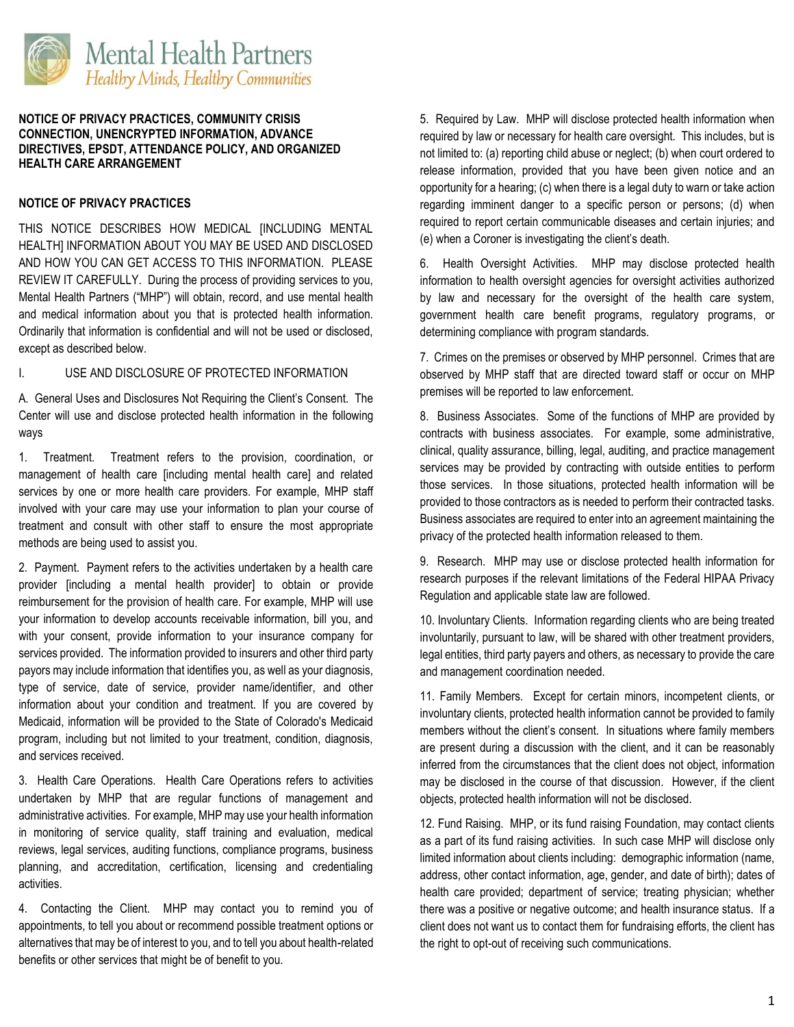

## **NOTICE OF PRIVACY PRACTICES, COMMUNITY CRISIS CONNECTION, UNENCRYPTED INFORMATION, ADVANCE DIRECTIVES, EPSDT, ATTENDANCE POLICY, AND ORGANIZED HEALTH CARE ARRANGEMENT**

# **NOTICE OF PRIVACY PRACTICES**

THIS NOTICE DESCRIBES HOW MEDICAL [INCLUDING MENTAL HEALTH] INFORMATION ABOUT YOU MAY BE USED AND DISCLOSED AND HOW YOU CAN GET ACCESS TO THIS INFORMATION. PLEASE REVIEW IT CAREFULLY. During the process of providing services to you, Mental Health Partners ("MHP") will obtain, record, and use mental health and medical information about you that is protected health information. Ordinarily that information is confidential and will not be used or disclosed, except as described below.

# I. USE AND DISCLOSURE OF PROTECTED INFORMATION

A. General Uses and Disclosures Not Requiring the Client's Consent. The Center will use and disclose protected health information in the following ways

1. Treatment. Treatment refers to the provision, coordination, or management of health care [including mental health care] and related services by one or more health care providers. For example, MHP staff involved with your care may use your information to plan your course of treatment and consult with other staff to ensure the most appropriate methods are being used to assist you.

2. Payment. Payment refers to the activities undertaken by a health care provider [including a mental health provider] to obtain or provide reimbursement for the provision of health care. For example, MHP will use your information to develop accounts receivable information, bill you, and with your consent, provide information to your insurance company for services provided. The information provided to insurers and other third party payors may include information that identifies you, as well as your diagnosis, type of service, date of service, provider name/identifier, and other information about your condition and treatment. If you are covered by Medicaid, information will be provided to the State of Colorado's Medicaid program, including but not limited to your treatment, condition, diagnosis, and services received.

3. Health Care Operations. Health Care Operations refers to activities undertaken by MHP that are regular functions of management and administrative activities. For example, MHP may use your health information in monitoring of service quality, staff training and evaluation, medical reviews, legal services, auditing functions, compliance programs, business planning, and accreditation, certification, licensing and credentialing activities.

4. Contacting the Client. MHP may contact you to remind you of appointments, to tell you about or recommend possible treatment options or alternatives that may be of interest to you, and to tell you about health-related benefits or other services that might be of benefit to you.

5. Required by Law. MHP will disclose protected health information when required by law or necessary for health care oversight. This includes, but is not limited to: (a) reporting child abuse or neglect; (b) when court ordered to release information, provided that you have been given notice and an opportunity for a hearing; (c) when there is a legal duty to warn or take action regarding imminent danger to a specific person or persons; (d) when required to report certain communicable diseases and certain injuries; and (e) when a Coroner is investigating the client's death.

6. Health Oversight Activities. MHP may disclose protected health information to health oversight agencies for oversight activities authorized by law and necessary for the oversight of the health care system, government health care benefit programs, regulatory programs, or determining compliance with program standards.

7. Crimes on the premises or observed by MHP personnel. Crimes that are observed by MHP staff that are directed toward staff or occur on MHP premises will be reported to law enforcement.

8. Business Associates. Some of the functions of MHP are provided by contracts with business associates. For example, some administrative, clinical, quality assurance, billing, legal, auditing, and practice management services may be provided by contracting with outside entities to perform those services. In those situations, protected health information will be provided to those contractors as is needed to perform their contracted tasks. Business associates are required to enter into an agreement maintaining the privacy of the protected health information released to them.

9. Research. MHP may use or disclose protected health information for research purposes if the relevant limitations of the Federal HIPAA Privacy Regulation and applicable state law are followed.

10. Involuntary Clients. Information regarding clients who are being treated involuntarily, pursuant to law, will be shared with other treatment providers, legal entities, third party payers and others, as necessary to provide the care and management coordination needed.

11. Family Members. Except for certain minors, incompetent clients, or involuntary clients, protected health information cannot be provided to family members without the client's consent. In situations where family members are present during a discussion with the client, and it can be reasonably inferred from the circumstances that the client does not object, information may be disclosed in the course of that discussion. However, if the client objects, protected health information will not be disclosed.

12. Fund Raising. MHP, or its fund raising Foundation, may contact clients as a part of its fund raising activities. In such case MHP will disclose only limited information about clients including: demographic information (name, address, other contact information, age, gender, and date of birth); dates of health care provided; department of service; treating physician; whether there was a positive or negative outcome; and health insurance status. If a client does not want us to contact them for fundraising efforts, the client has the right to opt-out of receiving such communications.